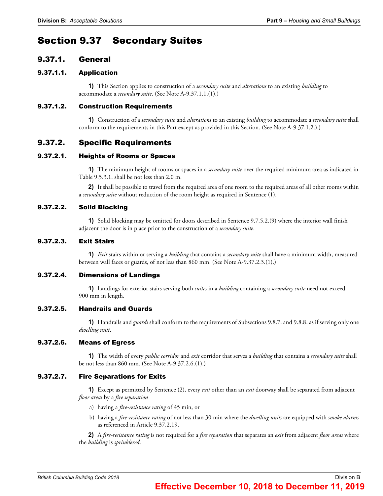# Section 9.37 Secondary Suites

# 9.37.1. General

## 9.37.1.1. Application

**1)** This Section applies to construction of a *secondary suite* and *alterations* to an existing *building* to accommodate a *secondary suite*. (See Note A-9.37.1.1.(1).)

## 9.37.1.2. Construction Requirements

**1)** Construction of a *secondary suite* and *alterations* to an existing *building* to accommodate a *secondary suite* shall conform to the requirements in this Part except as provided in this Section. (See Note A-9.37.1.2.).)

# 9.37.2. Specific Requirements

## 9.37.2.1. Heights of Rooms or Spaces

**1)** The minimum height of rooms or spaces in a *secondary suite* over the required minimum area as indicated in Table 9.5.3.1. shall be not less than 2.0 m.

**2)** It shall be possible to travel from the required area of one room to the required areas of all other rooms within a *secondary suite* without reduction of the room height as required in Sentence (1).

## 9.37.2.2. Solid Blocking

**1)** Solid blocking may be omitted for doors described in Sentence 9.7.5.2.(9) where the interior wall finish adjacent the door is in place prior to the construction of a *secondary suite*.

## 9.37.2.3. Exit Stairs

**1)** *Exit* stairs within or serving a *building* that contains a *secondary suite* shall have a minimum width, measured between wall faces or guards, of not less than 860 mm. (See Note A-9.37.2.3.(1).)

## 9.37.2.4. Dimensions of Landings

**1)** Landings for exterior stairs serving both *suites* in a *building* containing a *secondary suite* need not exceed 900 mm in length.

## 9.37.2.5. Handrails and Guards

**1)** Handrails and *guards* shall conform to the requirements of Subsections 9.8.7. and 9.8.8. as if serving only one *dwelling unit*.

## 9.37.2.6. Means of Egress

**1)** The width of every *public corridor* and *exit* corridor that serves a *building* that contains a *secondary suite* shall be not less than 860 mm. (See Note A-9.37.2.6.(1).)

## 9.37.2.7. Fire Separations for Exits

**1)** Except as permitted by Sentence (2), every *exit* other than an *exit* doorway shall be separated from adjacent *floor areas* by a *fire separation*

- a) having a *fire-resistance rating* of 45 min, or
- b) having a *fire-resistance rating* of not less than 30 min where the *dwelling units* are equipped with *smoke alarms* as referenced in Article 9.37.2.19.

**2)** A *fire-resistance rating* is not required for a *fire separation* that separates an *exit* from adjacent *floor areas* where the *building* is *sprinklered*.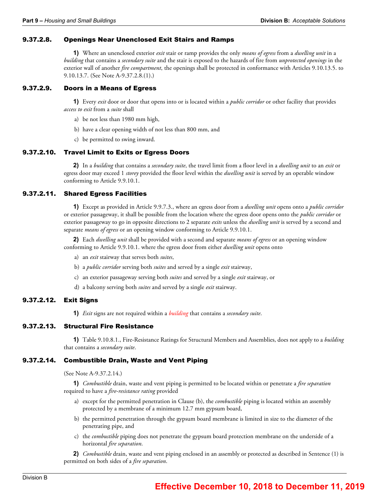### 9.37.2.8. Openings Near Unenclosed Exit Stairs and Ramps

**1)** Where an unenclosed exterior *exit* stair or ramp provides the only *means of egress* from a *dwelling unit* in a *building* that contains a *secondary suite* and the stair is exposed to the hazards of fire from *unprotected openings* in the exterior wall of another *fire compartment*, the openings shall be protected in conformance with Articles 9.10.13.5. to 9.10.13.7. (See Note A-9.37.2.8.(1).)

### 9.37.2.9. Doors in a Means of Egress

**1)** Every *exit* door or door that opens into or is located within a *public corridor* or other facility that provides *access to exit* from a *suite* shall

- a) be not less than 1980 mm high,
- b) have a clear opening width of not less than 800 mm, and
- c) be permitted to swing inward.

#### 9.37.2.10. Travel Limit to Exits or Egress Doors

**2)** In a *building* that contains a *secondary suite*, the travel limit from a floor level in a *dwelling unit* to an *exit* or egress door may exceed 1 *storey* provided the floor level within the *dwelling unit* is served by an operable window conforming to Article 9.9.10.1.

#### 9.37.2.11. Shared Egress Facilities

**1)** Except as provided in Article 9.9.7.3., where an egress door from a *dwelling unit* opens onto a *public corridor* or exterior passageway, it shall be possible from the location where the egress door opens onto the *public corridor* or exterior passageway to go in opposite directions to 2 separate *exits* unless the *dwelling unit* is served by a second and separate *means of egress* or an opening window conforming to Article 9.9.10.1.

**2)** Each *dwelling unit* shall be provided with a second and separate *means of egress* or an opening window conforming to Article 9.9.10.1. where the egress door from either *dwelling unit* opens onto

- a) an *exit* stairway that serves both *suites*,
- b) a *public corridor* serving both *suites* and served by a single *exit* stairway,
- c) an exterior passageway serving both *suites* and served by a single *exit* stairway, or
- d) a balcony serving both *suites* and served by a single *exit* stairway.

#### 9.37.2.12. Exit Signs

**1)** *Exit* signs are not required within a *building* that contains a *secondary suite*.

#### 9.37.2.13. Structural Fire Resistance

**1)** Table 9.10.8.1., Fire-Resistance Ratings for Structural Members and Assemblies, does not apply to a *building* that contains a *secondary suite*.

#### 9.37.2.14. Combustible Drain, Waste and Vent Piping

(See Note A-9.37.2.14.)

**1)** *Combustible* drain, waste and vent piping is permitted to be located within or penetrate a *fire separation* required to have a *fire-resistance rating* provided

- a) except for the permitted penetration in Clause (b), the *combustible* piping is located within an assembly protected by a membrane of a minimum 12.7 mm gypsum board,
- b) the permitted penetration through the gypsum board membrane is limited in size to the diameter of the penetrating pipe, and
- c) the *combustible* piping does not penetrate the gypsum board protection membrane on the underside of a horizontal *fire separation*.

**2)** *Combustible* drain, waste and vent piping enclosed in an assembly or protected as described in Sentence (1) is permitted on both sides of a *fire separation*.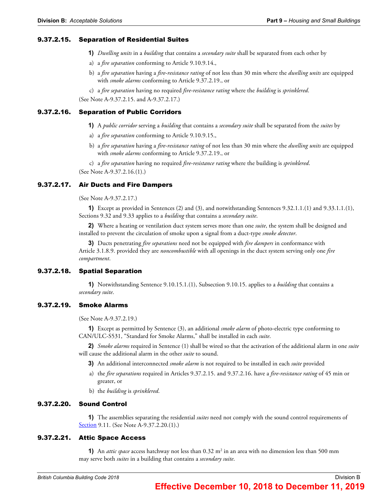#### 9.37.2.15. Separation of Residential Suites

- **1)** *Dwelling units* in a *building* that contains a *secondary suite* shall be separated from each other by
- a) a *fire separation* conforming to Article 9.10.9.14.,
- b) a *fire separation* having a *fire-resistance rating* of not less than 30 min where the *dwelling units* are equipped with *smoke alarms* conforming to Article 9.37.2.19., or

c) a *fire separation* having no required *fire-resistance rating* where the *building* is *sprinklered*. (See Note A-9.37.2.15. and A-9.37.2.17.)

#### 9.37.2.16. Separation of Public Corridors

**1)** A *public corridor* serving a *building* that contains a *secondary suite* shall be separated from the *suites* by

- a) a *fire separation* conforming to Article 9.10.9.15.,
- b) a *fire separation* having a *fire-resistance rating* of not less than 30 min where the *dwelling units* are equipped with *smoke alarms* conforming to Article 9.37.2.19., or

c) a *fire separation* having no required *fire-resistance rating* where the building is *sprinklered*. (See Note A-9.37.2.16.(1).)

#### 9.37.2.17. Air Ducts and Fire Dampers

(See Note A-9.37.2.17.)

**1)** Except as provided in Sentences (2) and (3), and notwithstanding Sentences 9.32.1.1.(1) and 9.33.1.1.(1), Sections 9.32 and 9.33 applies to a *building* that contains a *secondary suite*.

**2)** Where a heating or ventilation duct system serves more than one *suite*, the system shall be designed and installed to prevent the circulation of smoke upon a signal from a duct-type *smoke detector*.

**3)** Ducts penetrating *fire separations* need not be equipped with *fire dampers* in conformance with Article 3.1.8.9. provided they are *noncombustible* with all openings in the duct system serving only one *fire compartment*.

#### 9.37.2.18. Spatial Separation

**1)** Notwithstanding Sentence 9.10.15.1.(1), Subsection 9.10.15. applies to a *building* that contains a *secondary suite*.

#### 9.37.2.19. Smoke Alarms

(See Note A-9.37.2.19.)

**1)** Except as permitted by Sentence (3), an additional *smoke alarm* of photo-electric type conforming to CAN/ULC-S531, "Standard for Smoke Alarms," shall be installed in each *suite*.

**2)** *Smoke alarms* required in Sentence (1) shall be wired so that the activation of the additional alarm in one *suite* will cause the additional alarm in the other *suite* to sound.

- **3)** An additional interconnected *smoke alarm* is not required to be installed in each *suite* provided
- a) the *fire separations* required in Articles 9.37.2.15. and 9.37.2.16. have a *fire-resistance rating* of 45 min or greater, or
- b) the *building* is *sprinklered*.

#### 9.37.2.20. Sound Control

**1)** The assemblies separating the residential *suites* need not comply with the sound control requirements of Section 9.11. (See Note A-9.37.2.20.(1).)

## 9.37.2.21. Attic Space Access

**1)** An *attic space* access hatchway not less than 0.32 m<sup>2</sup> in an area with no dimension less than 500 mm may serve both *suites* in a building that contains a *secondary suite*.